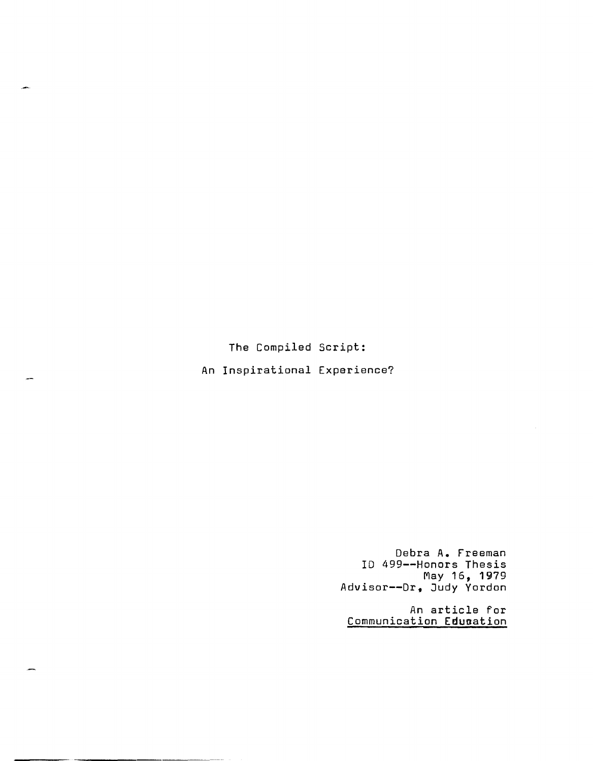The Compiled Script:

An Inspirational Experience?

Debra A. Freeman ID 499--Honors Thesis May 16, 1979 Advisor--Dr. Judy Vordon

An article for Communication Eduaation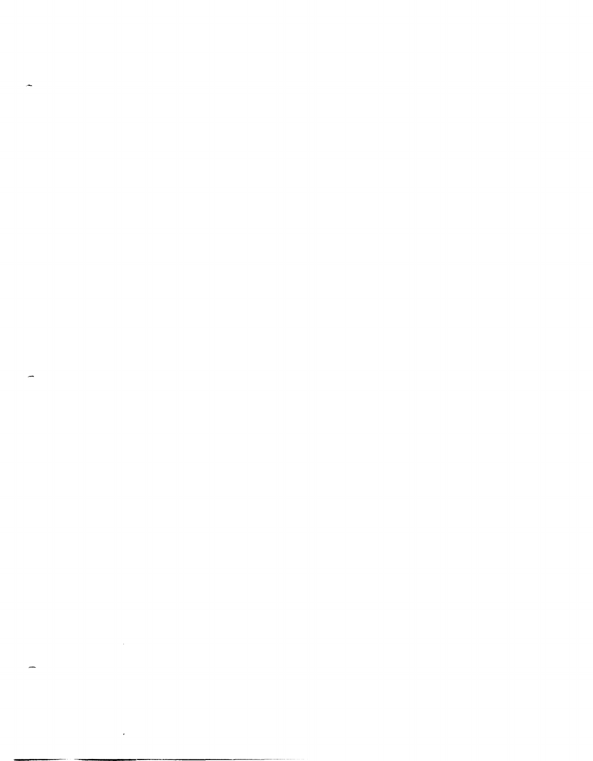$\label{eq:2.1} \mathcal{L}(\mathcal{L}^{\text{max}}_{\mathcal{L}}(\mathcal{L}^{\text{max}}_{\mathcal{L}}(\mathcal{L}^{\text{max}}_{\mathcal{L}}(\mathcal{L}^{\text{max}}_{\mathcal{L}^{\text{max}}_{\mathcal{L}}})))))$ 

 $\mathcal{L}^{\mathcal{L}}_{\mathcal{L}}$  and  $\mathcal{L}^{\mathcal{L}}_{\mathcal{L}}$  and  $\mathcal{L}^{\mathcal{L}}_{\mathcal{L}}$ 

 $\overline{\phantom{0}}$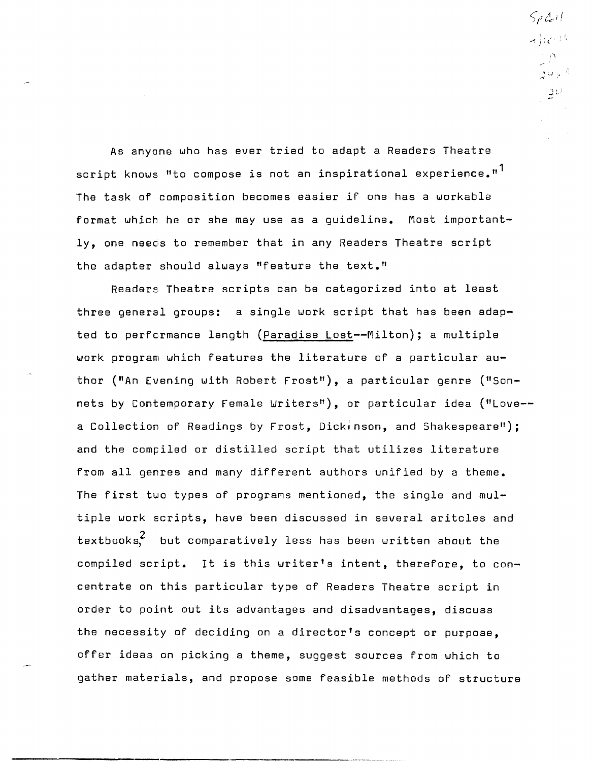As anyone who has ever tried to adapt a Readers Theatre script knows "to compose is not an inspirational experience."<sup>1</sup> The task of composition becomes easier if one has a workable format which he or she may use as a guideline. Most importantly, one needs to remember that in any Readers Theatre script the adapter should always "feature the text."

 $($   $\frac{1}{2})$   $\frac{1}{6}$  . (15)

 $S_{\rho}$ coil

 $\sum$ 

 $2<sup>C</sup>$ 

Readers Theatre scripts can be categorized into at least three general groups: a single work script that has been adapted to perfcrmance length (Paradise Lost--Milton); a multiple work program which features the literature of a particular author ("An Evening with Robert Frost"), a particular genre ("Sonnets by Contemporary Female Writers"), or particular idea ("Love-a Collection of Readings by Frost, Dickinson, and Shakespeare"); and the compiled or distilled script that utilizes literature from all genres and many different authors unified by a theme. The first two types of programs mentioned, the single and multiple work scripts, have been discussed in several aritcles and  $text{text}$ , but comparatively less has been written about the compiled script. It is this writer's intent, therefore, to concentrate on this particular type of Readers Theatre script in order to point out its advantages and disadvantages, discuss the necessity of deciding on a director's concept or purpose, offer ideas on picking a theme, suggest sources from which to gather materials, and propose some feasible methods of structure

----------------\_ ............. \_ .... \_-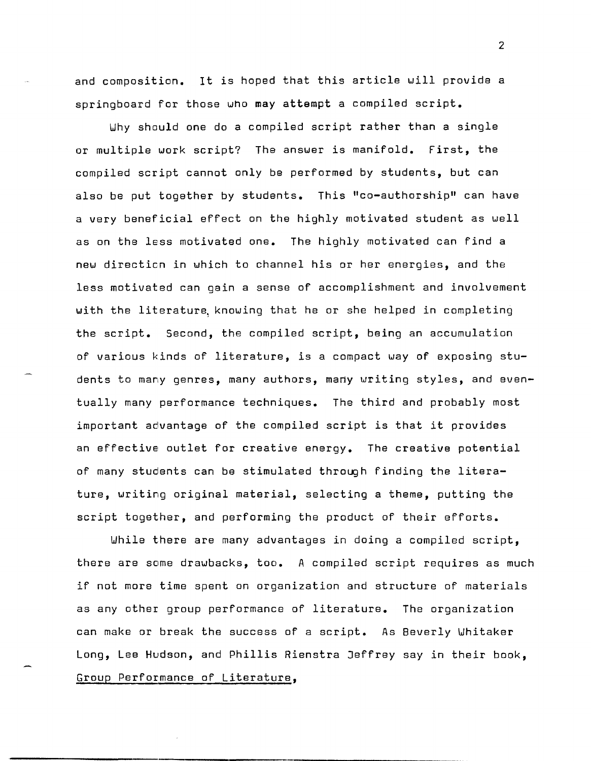and composition. It is hoped that this article will provide a springboard for those who may attempt a compiled script.

Why should one do a compiled script rather than a single or multiple work script? The answer is manifold. First, the compiled script cannot only be performed by students, but can also be put together by students. This "co-authorship" can have a very beneficial effect on the highly motivated student as well as on the less motivated one. The highly motivated can find a new directicn in which to channel his or her energies, and the less motivated can gain a sense of accomplishment and involvement with the literature knowing that he or she helped in completing the script. Second, the compiled script, being an accumulation of various kinds of literature, is a compact way of exposing students to many genres, many authors, many writing styles, and eventually many performance techniques. The third and probably most important advantage of the compiled script is that it provides an effective outlet for creative energy. The creative potential of many students can be stimulated through finding the literature, writing original material, selecting a theme, putting the script together, and performing the product of their efforts.

While there are many advantages in doing a compiled script, there are some drawbacks, too. A compiled script requires as much if not more time spent on organization and structure of materials as any other group performance of literature. The organization can make or break the success of a script. As Beverly Whitaker Long, Lee Hudson, and Phillis Rienstra Jeffrey say in their book, Group Performance of Literature,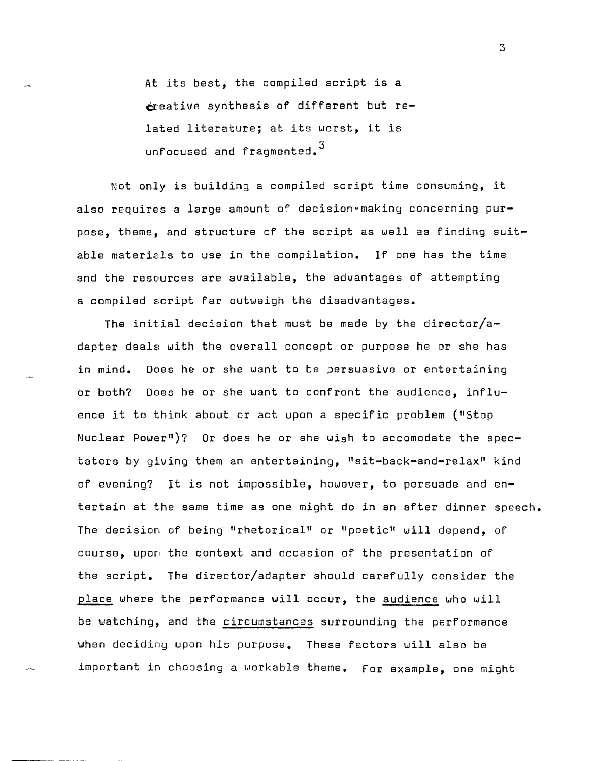At its best, the compiled script is a  $eractive$  synthesis of different but related literature; at its worst, it is unfocused and fragmented.<sup>3</sup>

Not only is building a compiled script time consuming, it also requires a large amount of decision-making concerning purpose, theme, and structure of the script as well as finding suitable materials to use in the compilation. If one has the time and the resources are available, the advantages of attempting a compiled script far outweigh the disadvantages.

The initial decision that must be made by the director/adapter deals with the overall concept or purpose he or she has in mind. Does he or she want to be persuasive or entertaining or both? Does he or she want to confront the audience, influence it to think about or act upon a specific problem ("stop Nuclear Power")? Or does he or she wish to accomodate the spectators by giving them an entertaining, "sit-back-and-relax" kind of evening? It is not impossible, however, to persuade and entertain at the same time as one might do in an after dinner speech. The decision of being "rhetorical" or "poetic" will depend, of course, upon the context and occasion of the presentation of the script. The director/adapter should carefully consider the place where the performance will occur, the audience who will be watching, and the circumstances surrounding the performance when deciding upon his purpose. These factors will also be important in choosing a workable theme. For example, one might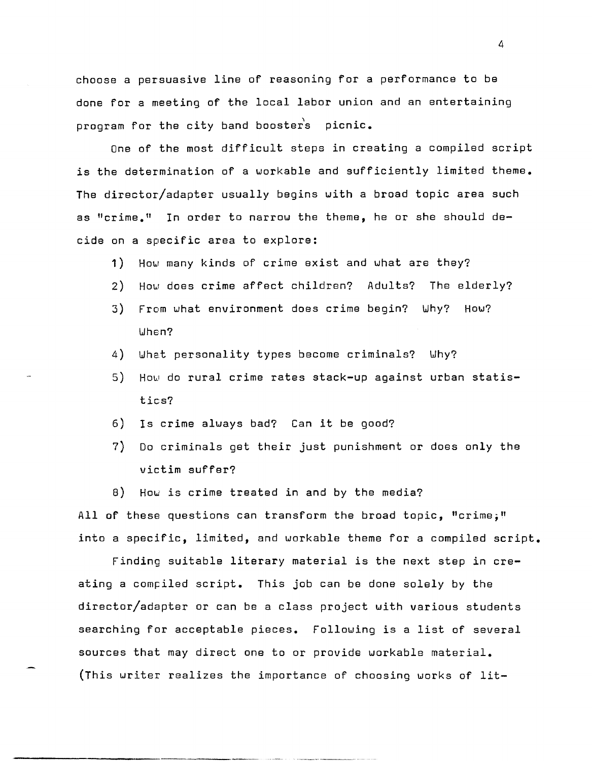choose a persuasive line of reasoning for a performance to be done for a meeting of the local labor union and an entertaining program for the city band boosters picnic.

One of the most difficult steps in creating a compiled script is the determination of a workable and sufficiently limited theme. The director/adapter usually begins with a broad topic area such as "crime." In order to narrow the theme, he or she should decide on a specific area to explore:

- 1) How many kinds of crime exist and what are they?
- 2) How does crime affect children? Adults? The elderly?
- 3) From what environment does crime begin? Why? How? WhEn?
- 4) Whet personality types become criminals? Why?
- 5) How do rural crime rates stack-up against urban statistics?
- 6) Is crime always bad? Can it be good?
- 7) Do criminals get their just punishment or does only the victim suffer?

8) How is crime treated in and by the media?

All of these questions can transform the broad topic, "crime;" into a specific, limited, and workable theme for a compiled script.

Finding suitable literary material is the next step in creating a compiled script. This job can be done solely by the director/adapter or can be a class project with various students searching for acceptable pieces. Following is a list of several sources that may direct one to or provide workable material. (This writer realizes the importance of choosing works of lit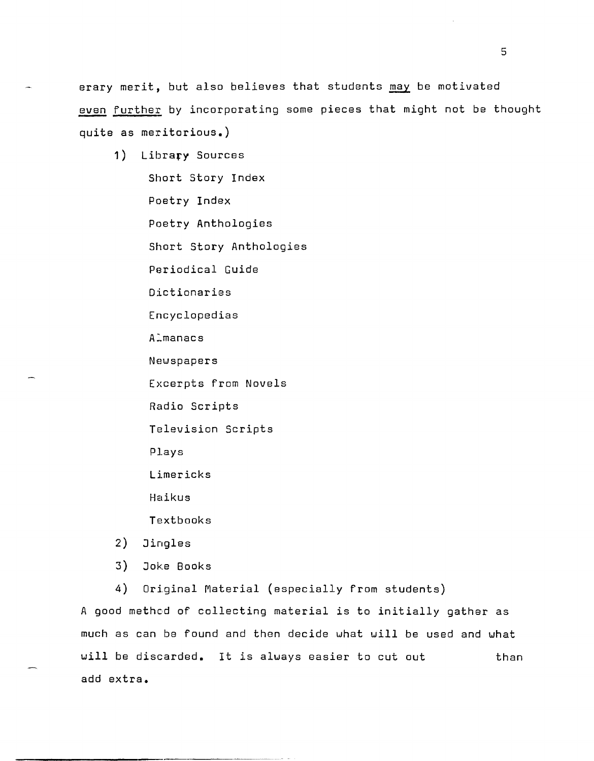erary merit, but also believes that students may be motivated even further by incorporating some pieces that might not be thought quite as meritorious.)

1) Library Sources

Short Story Index

Poetry Index

Poetry Anthologies

Short Story Anthologies

Periodical Guide

Dictionaries

Encyclopedias

Almanacs

Newspapers

Excerpts from Novels

Radio Scripts

Television Scripts

Plays

Limericks

Haikus

Textbooks

- 2) Jingles
- 3) Joke Books

4) Original Material (especially from students)

A good method of collecting material is to initially gather as much as can be found and then decide what will be used and what will be discarded. It is always easier to cut out than add extra.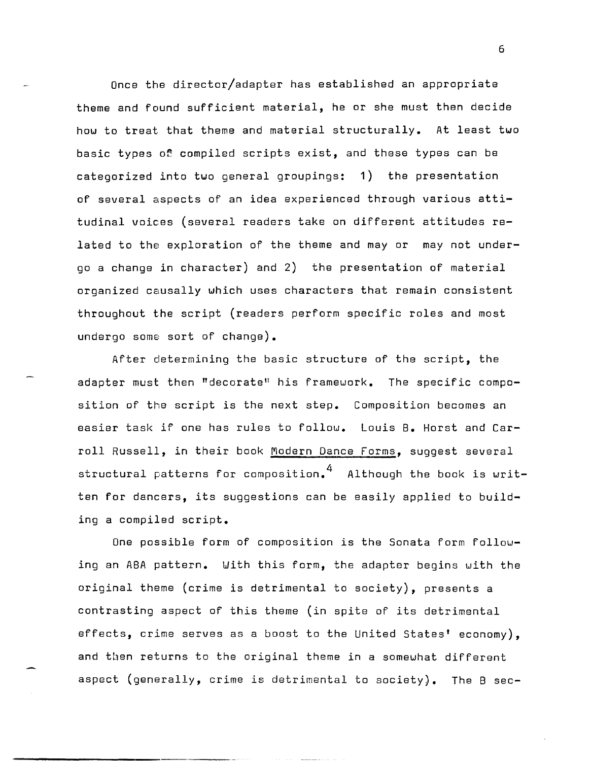Once the director/adapter has established an appropriate theme and found sufficient material, he or she must then decide how to treat that theme and material structurally. At least two basic types of compiled scripts exist, and these types can be categorized into two general groupings: 1) the presentation of several aspects of an idea experienced through various attitudinal voices (several readers take on different attitudes related to the exploration of the theme and may or may not undergo a change in character) and 2) the presentation of material organized causally which uses characters that remain consistent throughout the script (readers perform specific roles and most undergo some sort of change).

After determining the basic structure of the script, the adapter must then "decorate" his framework. The specific composition of the script is the next step. Composition becomes an easier task if one has rules to follow. Louis B. Horst and Carroll Russell, in their book Modern Dance Forms, suggest several structural patterns for composition.  $4$  Although the book is written for dancers, its suggestions can be easily applied to building a compiled script.

One possible form of composition is the Sonata form following an ABA pattern. With this form, the adapter begins with the original theme (crime is detrimental to society), presents a contrasting aspect of this theme (in spite of its detrimental effects, crime serves as a boost to the United States' economy), and then returns to the original theme in a somewhat different aspect (generally, crime is detrimental to society). The B sec-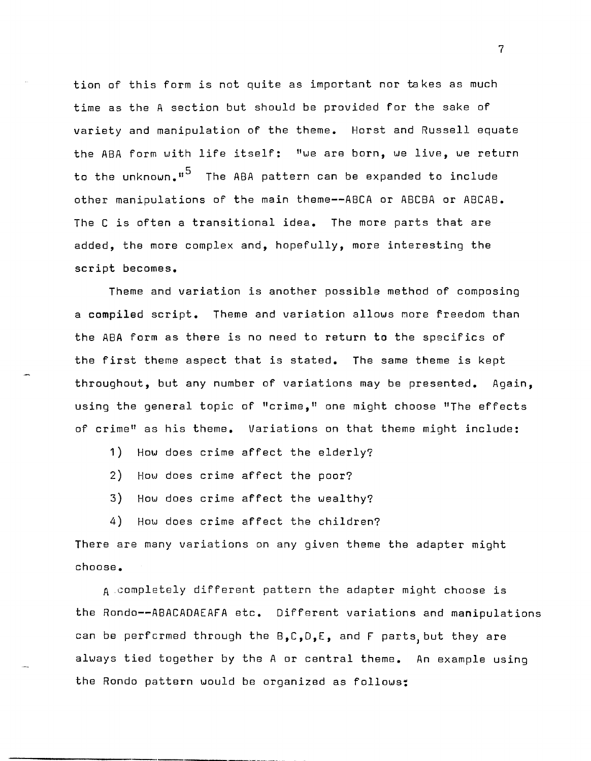tion of this form is not quite as important nor takes as much time as the A section but should be provided for the sake of variety and manipulation of the theme. Horst and Russell equate the ABA form with life itself: "we are born, we live, we return to the unknown."<sup>5</sup> The ABA pattern can be expanded to include other manipulations of the main theme--ABCA or ABCBA or ABCAB. The C is often a transitional idea. The more parts that are added, the more complex and, hopefully, more interesting the script becomes.

Theme and variation is another possible method of composing a compiled script. Theme and variation allows more freedom than the ABA form as there is no need to return to the specifics of the first theme aspect that is stated. The same theme is kept throughout, but any number of variations may be presented. Again, using the general topic of "crime," one might choose "The effects of crime" as his theme. Variations on that theme might include:

- 1) How does crime affect the elderly?
- 2) How does crime affect the poor?
- 3) How does crime affect the wealthy?
- 4) How does crime affect the children?

There are many variations on any given theme the adapter might choose.

A .completely different pattern the adapter might choose is the Rondo--ABACADAEAFA etc. Different variations and manipulations can be performed through the  $B_2C_2D_2E_3$  and F parts, but they are always tied together by the A or central theme. An example using the Rondo pattern would be organized as follows: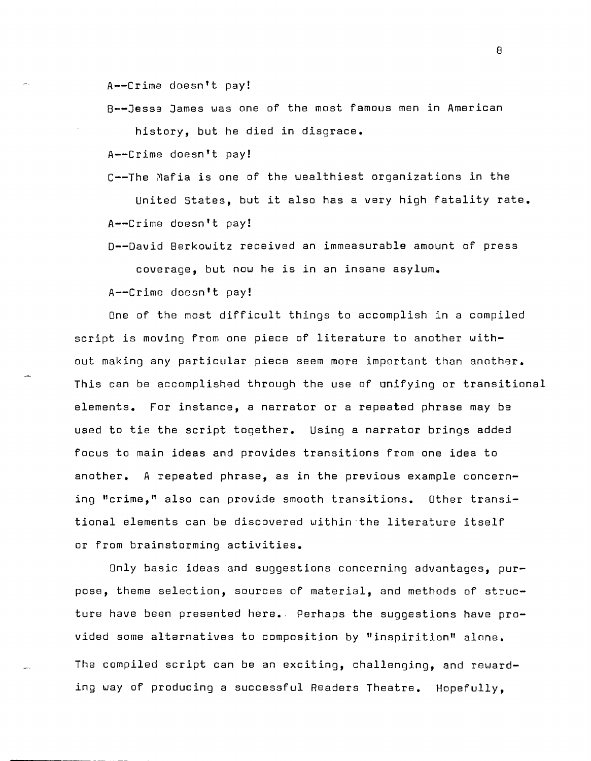A--Crime doesn't pay!

8--J8ss3 James was one of the most famous men in American history, but he died in disgrace.

A--Crime doesn't pay!

C--The Mafia is one of the wealthiest organizations in the

United states, but it also has a very high fatality rate. A--Crime doesn't pay!

D--David 8erkowitz received an immeasurable amount of press coverage, but now he is in an insane asylum.

A--Crime doesn't pay!

One of the most difficult things to accomplish in a compiled script is moving from one piece of literature to another without making any particular piece seem more important than another. This can be accomplished through the use of unifying or transitional elements. For instance, a narrator or a repeated phrase may be used to tie the script together. Using a narrator brings added focus to main ideas and provides transitions from one idea to another. A repeated phrase, as in the previous example concerning "crime," also can provide smooth transitions. Other transitional elements can be discovered within-the literature itself or from brainstorming activities.

Only basic ideas and suggestions concerning advantages, purpose, theme selection, sources of material, and methods of structure have been presented here. Perhaps the suggestions have provided some alternatives to composition by "inspirition" alone. The compiled script can be an exciting, challenging, and rewarding way of producing a successful Readers Theatre. Hopefully,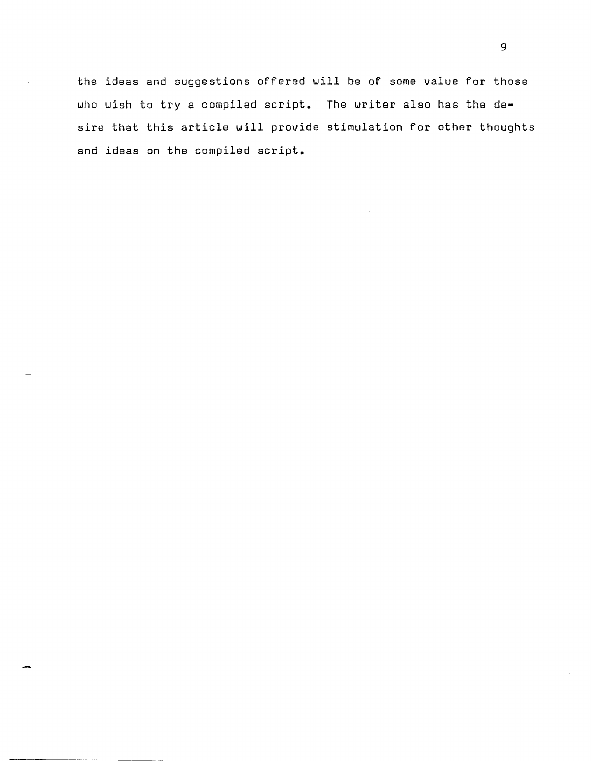9

the ideas and suggestions offered will be of some value for those who wish to try a compiled script. The writer also has the desire that this article will provide stimulation for other thoughts and ideas on the compiled script.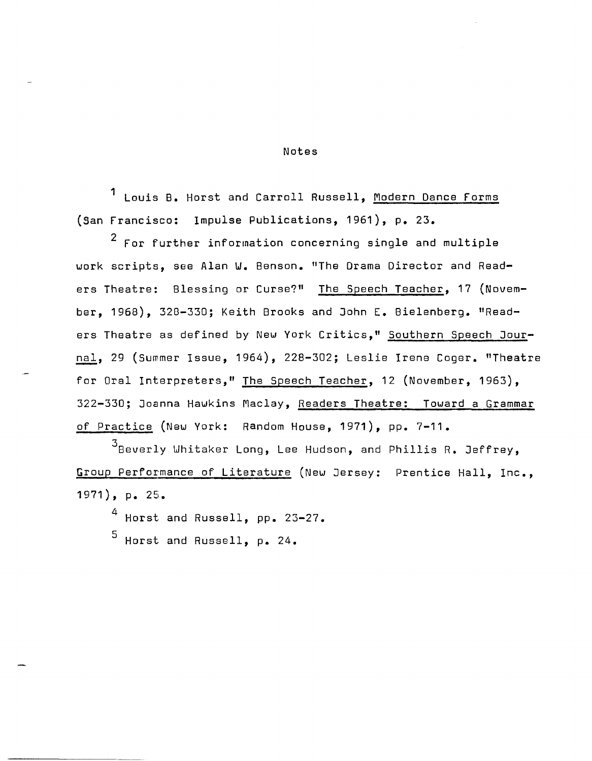## Notes

1 Louis B. Horst and Carroll Russell, Modern Dance Forms (San Francisco: Impulse Publications, 1961), p. 23.

 $2$  For further information concerning single and multiple work scripts, see Alan W. Benson. "The Drama Director and Readers Theatre: Blessing or Curse?" The Speech Teacher, 17 (November, 1968), 328-330; Keith Brooks and John E. Bielenberg. "Readers Theatre as defined by New York Critics," Southern Speech Journal, 29 (Summer Issue, 1964), 228-302; Leslie Irene Coger. "Theatre for Oral Interpreters," The Speech Teacher, 12 (November, 1963), 322-330; Joanna Hawkins Maclay, Readers Theatre: Toward a Grammar of Practice (New York: Random House, 1971), pp. 7-11.

 $3$ Beverly Whitaker Long, Lee Hudson, and Phillis R. Jeffrey, Group Performance of Literature (New Jersey: Prentice Hall, Inc., 1971), p. 25.

 $4$  Horst and Russell, pp. 23-27.  $^{\text{5}}$  Horst and Russell, p. 24.